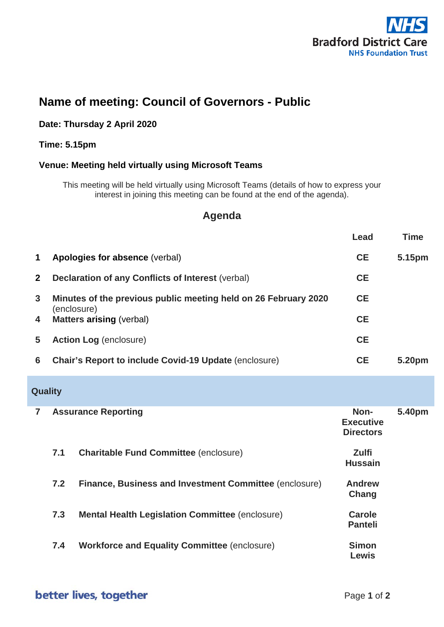

# **Name of meeting: Council of Governors - Public**

#### **Date: Thursday 2 April 2020**

#### **Time: 5.15pm**

#### **Venue: Meeting held virtually using Microsoft Teams**

This meeting will be held virtually using Microsoft Teams (details of how to express your interest in joining this meeting can be found at the end of the agenda).

## **Agenda**

|                |                                                                 |                                                              | Lead                                         | <b>Time</b> |
|----------------|-----------------------------------------------------------------|--------------------------------------------------------------|----------------------------------------------|-------------|
| 1              |                                                                 | Apologies for absence (verbal)                               | <b>CE</b>                                    | 5.15pm      |
| $\mathbf{2}$   |                                                                 | <b>Declaration of any Conflicts of Interest (verbal)</b>     | <b>CE</b>                                    |             |
| $\mathbf{3}$   | Minutes of the previous public meeting held on 26 February 2020 |                                                              | <b>CE</b>                                    |             |
| 4              | (enclosure)<br><b>Matters arising (verbal)</b>                  |                                                              | <b>CE</b>                                    |             |
| 5              | <b>Action Log (enclosure)</b>                                   |                                                              | <b>CE</b>                                    |             |
| 6              |                                                                 | <b>Chair's Report to include Covid-19 Update (enclosure)</b> | <b>CE</b>                                    | 5.20pm      |
| <b>Quality</b> |                                                                 |                                                              |                                              |             |
| $\overline{7}$ |                                                                 | <b>Assurance Reporting</b>                                   | Non-<br><b>Executive</b><br><b>Directors</b> | 5.40pm      |
|                | 7.1                                                             | <b>Charitable Fund Committee (enclosure)</b>                 | <b>Zulfi</b><br><b>Hussain</b>               |             |
|                | 7.2                                                             | Finance, Business and Investment Committee (enclosure)       | <b>Andrew</b><br>Chang                       |             |
|                | 7.3                                                             | <b>Mental Health Legislation Committee (enclosure)</b>       | <b>Carole</b><br><b>Panteli</b>              |             |
|                | 7.4                                                             | <b>Workforce and Equality Committee (enclosure)</b>          | <b>Simon</b><br><b>Lewis</b>                 |             |